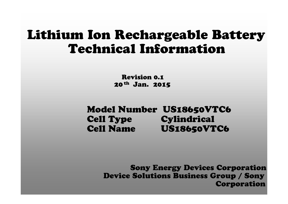# Lithium Ion Rechargeable Battery Technical Information

Revision 0.1 20th Jan. 2015

Model Number US18650VTC6 Cell Type Cylindrical Cell Name US18650VTC6

> Sony Energy Devices Corporation Device Solutions Business Group / Sony Corporation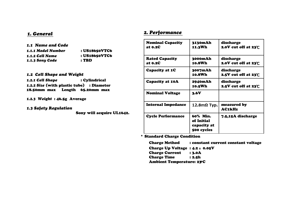| 1.1 Name and Code  |               |
|--------------------|---------------|
| 1.1.1 Model Number | : US18650VTC6 |
| 1.1.2 Cell Name    | : US18650VTC6 |
| 1.1.3 Sony Code    | : TBD         |

#### *1.2 Cell Shape and Weight*

*1.2.1 Cell Shape* : Cylindrical *1.2.2 Size (*with plastic tube) : Diameter 18.50mm max Length 65.20mm max

*1.2.3 Weight* : 46.5g Average

*1.3 Safety Regulation* 

Sony will acquire UL1642.

#### *1. General 2. Performance*

| <b>Nominal Capacity</b><br>at 0.2C | 3130mAh<br>11.3Wh                                   | discharge<br>2.0V cut off at $23^\circ C$ |
|------------------------------------|-----------------------------------------------------|-------------------------------------------|
| <b>Rated Capacity</b><br>at 0.2C   | 3000mAh<br>10.8Wh                                   | discharge<br>2.0V cut off at $23^\circ C$ |
| Capacity at 1C                     | 3007mAh<br>10.8Wh                                   | discharge<br>2.5V cut off at $23^\circ C$ |
| <b>Capacity at 10A</b>             | 2940mAh<br>10.5Wh                                   | discharge<br>2.5V cut off at $23^\circ C$ |
| <b>Nominal Voltage</b>             | 3.6V                                                |                                           |
| <b>Internal Impedance</b>          | $12.8m$ Ω Typ.                                      | measured by<br><b>AC1kHz</b>              |
| <b>Cycle Performance</b>           | 60% Min.<br>of Initial<br>capacity at<br>500 cycles | 7.5,15A discharge                         |

\* Standard Charge Condition

Charge Method : constant current constant voltage Charge Up Voltage :  $4.2 \pm 0.05V$ Charge Current : 3.0A Charge Time : 2.5h Ambient Temperature: 23°C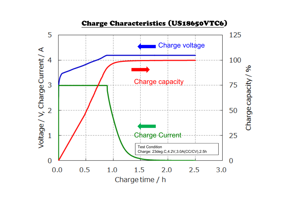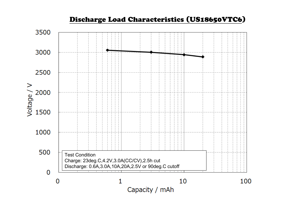# Discharge Load Characteristics (US18650VTC6)

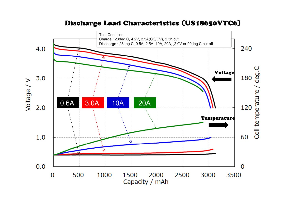#### Discharge Load Characteristics (US18650VTC6)

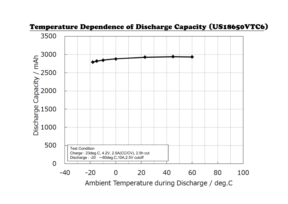

#### Temperature Dependence of Discharge Capacity (US18650VTC6)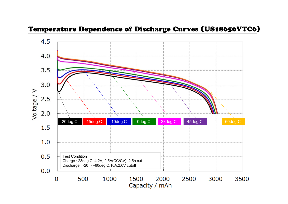### Temperature Dependence of Discharge Curves (US18650VTC6)

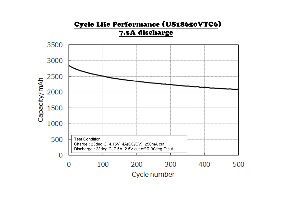#### Cycle Life Performance (US18650VTC6) 7.5A discharge Capacity/mAh Test Condition Charge : 23deg.C, 4.15V, 4A(CC/CV), 250mA cut Discharge : 23deg.C, 7.5A, 2.5V cut off,R 30deg.Ctcut  $\overline{0}$ Cycle number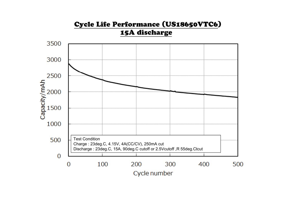# Cycle Life Performance (US18650VTC6) 15A discharge 3500 3000 2500  $\frac{4}{100}$ <br> $\frac{2000}{1500}$ 1000 500 Test Condition Charge : 23deg.C, 4.15V, 4A(CC/CV), 250mA cut Discharge : 23deg.C, 15A, 90deg.C cutoff or 2.5Vcutoff ,R 55deg.Ctcut  $\overline{0}$  $\overline{0}$ 100 200 300 400 500 Cycle number